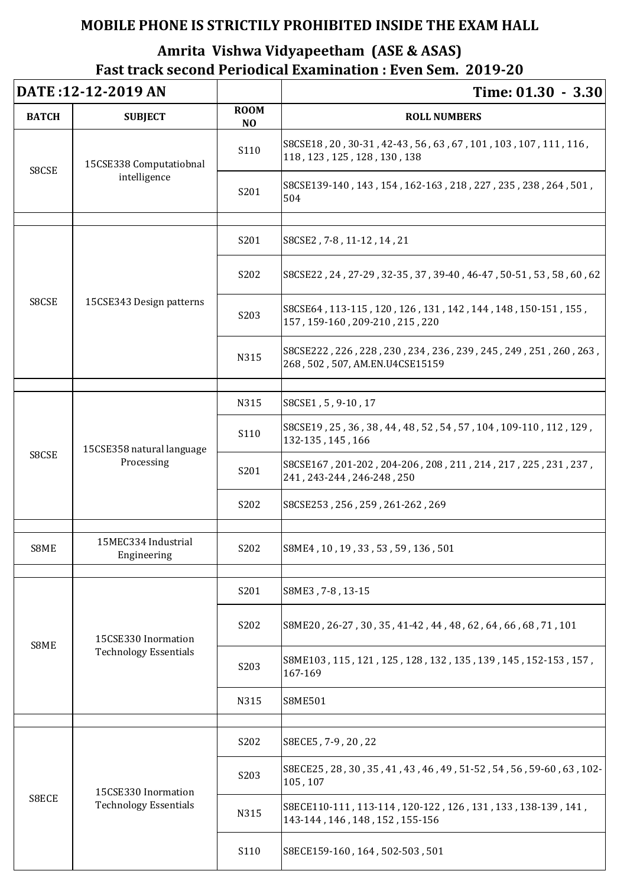| DATE: 12-12-2019 AN |                                                     |                               | Time: 01.30 - 3.30                                                                                  |
|---------------------|-----------------------------------------------------|-------------------------------|-----------------------------------------------------------------------------------------------------|
| <b>BATCH</b>        | <b>SUBJECT</b>                                      | <b>ROOM</b><br>N <sub>O</sub> | <b>ROLL NUMBERS</b>                                                                                 |
| S8CSE               | 15CSE338 Computatiobnal<br>intelligence             | S110                          | S8CSE18, 20, 30-31, 42-43, 56, 63, 67, 101, 103, 107, 111, 116,<br>118, 123, 125, 128, 130, 138     |
|                     |                                                     | S201                          | S8CSE139-140, 143, 154, 162-163, 218, 227, 235, 238, 264, 501,<br>504                               |
| S8CSE               | 15CSE343 Design patterns                            | S201                          | S8CSE2, 7-8, 11-12, 14, 21                                                                          |
|                     |                                                     | S202                          | S8CSE22, 24, 27-29, 32-35, 37, 39-40, 46-47, 50-51, 53, 58, 60, 62                                  |
|                     |                                                     | S <sub>20</sub> 3             | S8CSE64, 113-115, 120, 126, 131, 142, 144, 148, 150-151, 155,<br>157, 159-160, 209-210, 215, 220    |
|                     |                                                     | N315                          | S8CSE222, 226, 228, 230, 234, 236, 239, 245, 249, 251, 260, 263,<br>268, 502, 507, AM.EN.U4CSE15159 |
| S8CSE               | 15CSE358 natural language<br>Processing             | N315                          | S8CSE1, 5, 9-10, 17                                                                                 |
|                     |                                                     | S110                          | S8CSE19, 25, 36, 38, 44, 48, 52, 54, 57, 104, 109-110, 112, 129,<br>132-135, 145, 166               |
|                     |                                                     | S201                          | S8CSE167, 201-202, 204-206, 208, 211, 214, 217, 225, 231, 237,<br>241, 243-244, 246-248, 250        |
|                     |                                                     | S <sub>2</sub> 0 <sub>2</sub> | S8CSE253, 256, 259, 261-262, 269                                                                    |
|                     | 15MEC334 Industrial                                 |                               |                                                                                                     |
| S8ME                | Engineering                                         | S <sub>2</sub> 0 <sub>2</sub> | S8ME4, 10, 19, 33, 53, 59, 136, 501                                                                 |
| S8ME                | 15CSE330 Inormation<br><b>Technology Essentials</b> | S201                          | S8ME3, 7-8, 13-15                                                                                   |
|                     |                                                     | S202                          | S8ME20, 26-27, 30, 35, 41-42, 44, 48, 62, 64, 66, 68, 71, 101                                       |
|                     |                                                     | S203                          | S8ME103, 115, 121, 125, 128, 132, 135, 139, 145, 152-153, 157,<br>167-169                           |
|                     |                                                     | N315                          | <b>S8ME501</b>                                                                                      |
|                     |                                                     |                               |                                                                                                     |
| S8ECE               | 15CSE330 Inormation<br><b>Technology Essentials</b> | S202                          | S8ECE5, 7-9, 20, 22                                                                                 |
|                     |                                                     | S203                          | S8ECE25, 28, 30, 35, 41, 43, 46, 49, 51-52, 54, 56, 59-60, 63, 102-<br>105, 107                     |
|                     |                                                     | N315                          | S8ECE110-111, 113-114, 120-122, 126, 131, 133, 138-139, 141,<br>143-144, 146, 148, 152, 155-156     |
|                     |                                                     | S <sub>110</sub>              | S8ECE159-160, 164, 502-503, 501                                                                     |

## **MOBILE PHONE IS STRICTILY PROHIBITED INSIDE THE EXAM HALL**

## **Amrita Vishwa Vidyapeetham (ASE & ASAS) Fast track second Periodical Examination : Even Sem. 2019-20**